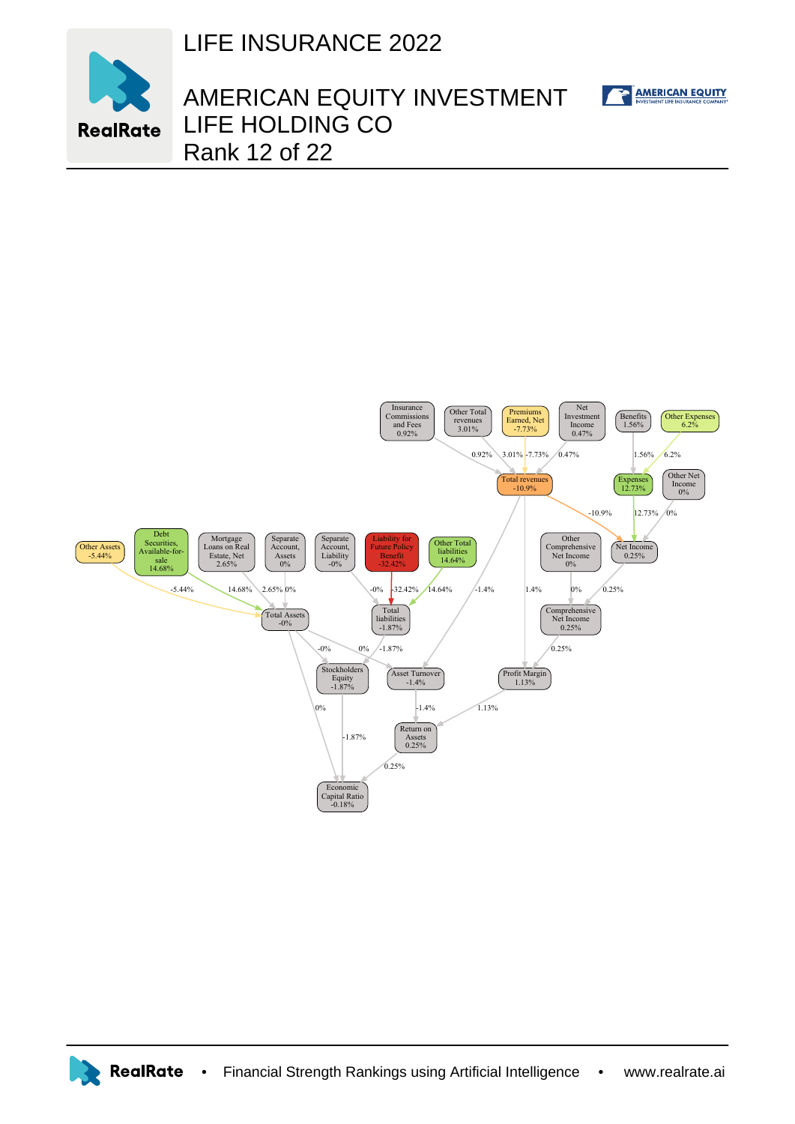



## AMERICAN EQUITY INVESTMENT LIFE HOLDING CO Rank 12 of 22

AMERICAN EQUITY